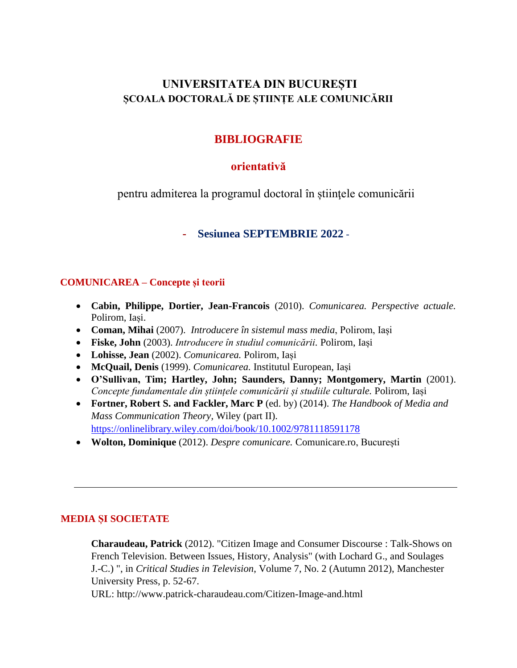# **UNIVERSITATEA DIN BUCUREȘTI ȘCOALA DOCTORALĂ DE ȘTIINȚE ALE COMUNICĂRII**

# **BIBLIOGRAFIE**

## **orientativă**

pentru admiterea la programul doctoral în știinţele comunicării

### **- Sesiunea SEPTEMBRIE 2022** -

#### **COMUNICAREA – Concepte și teorii**

- **Cabin, Philippe, Dortier, Jean-Francois** (2010). *Comunicarea. Perspective actuale.* Polirom, Iași.
- **Coman, Mihai** (2007). *Introducere în sistemul mass media*, Polirom, Iași
- **Fiske, John** (2003). *Introducere în studiul comunicării.* Polirom, Iași
- **Lohisse, Jean** (2002). *Comunicarea.* Polirom, Iași
- **McQuail, Denis** (1999). *Comunicarea.* Institutul European, Iași
- **O'Sullivan, Tim; Hartley, John; Saunders, Danny; Montgomery, Martin** (2001). *Concepte fundamentale din științele comunicării și studiile culturale.* Polirom, Iași
- **Fortner, Robert S. and Fackler, Marc P** (ed. by) (2014). *The Handbook of Media and Mass Communication Theory,* Wiley (part II). <https://onlinelibrary.wiley.com/doi/book/10.1002/9781118591178>
- **Wolton, Dominique** (2012). *Despre comunicare.* Comunicare.ro, București

### **MEDIA ȘI SOCIETATE**

**Charaudeau, Patrick** (2012). "Citizen Image and Consumer Discourse : Talk-Shows on French Television. Between Issues, History, Analysis" (with Lochard G., and Soulages J.-C.) ", in *Critical Studies in Television*, Volume 7, No. 2 (Autumn 2012), Manchester University Press, p. 52-67.

URL: http://www.patrick-charaudeau.com/Citizen-Image-and.html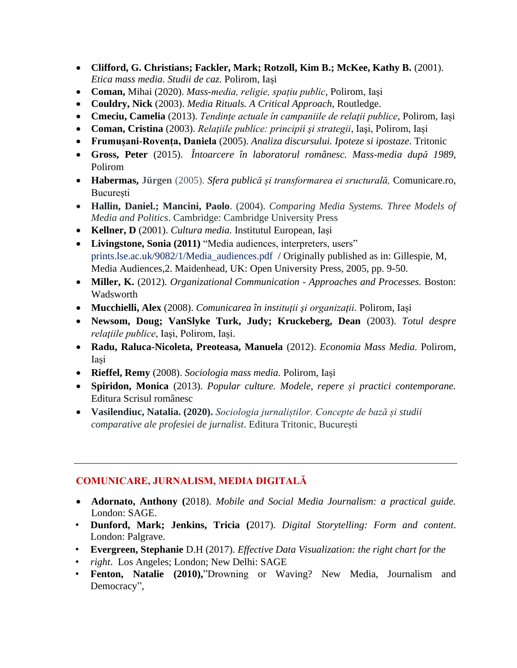- Clifford, G. Christians; Fackler, Mark; Rotzoll, Kim B.; McKee, Kathy B. (2001). *Etica mass media. Studii de caz.* Polirom, Iași
- **Coman,** Mihai (2020). *Mass-media, religie, spațiu public*, Polirom, Iași
- **Couldry, Nick** (2003). *Media Rituals. A Critical Approach*, Routledge.
- **Cmeciu, Camelia** (2013). *Tendinţe actuale în campaniile de relaţii publice*, Polirom, Iași
- **Coman, Cristina** (2003). *Relaţiile publice: principii şi strategii*, Iaşi, Polirom, Iași
- **Frumușani-Rovența, Daniela** (2005). *Analiza discursului. Ipoteze si ipostaze*. Tritonic
- **Gross, Peter** (2015). *Întoarcere în laboratorul românesc. Mass-media după 1989,*  Polirom
- **Habermas, Jürgen** (2005). *Sfera publică și transformarea ei sructurală,* Comunicare.ro, București
- **Hallin, Daniel.; Mancini, Paolo**. (2004). *Comparing Media Systems. Three Models of Media and Politics*. Cambridge: Cambridge University Press
- **Kellner, D** (2001). *Cultura media.* Institutul European, Iași
- **Livingstone, Sonia (2011)** "Media audiences, interpreters, users" prints.lse.ac.uk/9082/1/Media\_audiences.pdf / Originally published as in: Gillespie, M, Media Audiences,2. Maidenhead, UK: Open University Press, 2005, pp. 9-50.
- **Miller, K.** (2012). *Organizational Communication - Approaches and Processes.* Boston: Wadsworth
- **Mucchielli, Alex** (2008). *Comunicarea în instituţii şi organizaţii.* Polirom, Iași
- **Newsom, Doug; VanSlyke Turk, Judy; Kruckeberg, Dean** (2003). *Totul despre relaţiile publice*, Iaşi, Polirom, Iași.
- **Radu, Raluca-Nicoleta, Preoteasa, Manuela** (2012). *Economia Mass Media.* Polirom, Iași
- **Rieffel, Remy** (2008). *Sociologia mass media.* Polirom, Iași
- **Spiridon, Monica** (2013). *Popular culture. Modele, repere și practici contemporane.* Editura Scrisul românesc
- **Vasilendiuc, Natalia. (2020).** *Sociologia jurnaliștilor. Concepte de bază și studii comparative ale profesiei de jurnalist*. Editura Tritonic, București

### **COMUNICARE, JURNALISM, MEDIA DIGITALĂ**

- **Adornato, Anthony (**2018). *Mobile and Social Media Journalism: a practical guide.* London: SAGE.
- **Dunford, Mark; Jenkins, Tricia (**2017). *Digital Storytelling: Form and content*. London: Palgrave.
- **Evergreen, Stephanie** D.H (2017). *Effective Data Visualization: the right chart for the*
- *right*. Los Angeles; London; New Delhi: SAGE
- **Fenton, Natalie (2010),**"Drowning or Waving? New Media, Journalism and Democracy",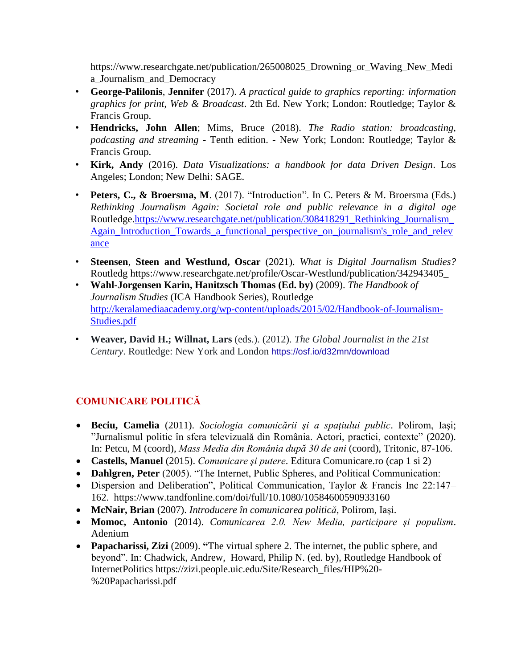https://www.researchgate.net/publication/265008025 Drowning or Waving New Medi a\_Journalism\_and\_Democracy

- **George-Palilonis**, **Jennifer** (2017). *A practical guide to graphics reporting: information graphics for print, Web & Broadcast*. 2th Ed. New York; London: Routledge; Taylor & Francis Group.
- **Hendricks, John Allen**; Mims, Bruce (2018). *The Radio station: broadcasting, podcasting and streaming* - Tenth edition. - New York; London: Routledge; Taylor & Francis Group.
- **Kirk, Andy** (2016). *Data Visualizations: a handbook for data Driven Design*. Los Angeles; London; New Delhi: SAGE.
- **Peters, C., & Broersma, M**. (2017). "Introduction". In C. Peters & M. Broersma (Eds.) *Rethinking Journalism Again: Societal role and public relevance in a digital age*  Routledge[.https://www.researchgate.net/publication/308418291\\_Rethinking\\_Journalism\\_](https://www.researchgate.net/publication/308418291_Rethinking_Journalism_Again_Introduction_Towards_a_functional_perspective_on_journalism) [Again\\_Introduction\\_Towards\\_a\\_functional\\_perspective\\_on\\_journalism's\\_role\\_and\\_relev](https://www.researchgate.net/publication/308418291_Rethinking_Journalism_Again_Introduction_Towards_a_functional_perspective_on_journalism) [ance](https://www.researchgate.net/publication/308418291_Rethinking_Journalism_Again_Introduction_Towards_a_functional_perspective_on_journalism)
- **Steensen**, **Steen and Westlund, Oscar** (2021). *What is Digital Journalism Studies?* Routledg https://www.researchgate.net/profile/Oscar-Westlund/publication/342943405\_
- **Wahl-Jorgensen Karin, Hanitzsch Thomas (Ed. by)** (2009). *The Handbook of Journalism Studies* (ICA Handbook Series), Routledge [http://keralamediaacademy.org/wp-content/uploads/2015/02/Handbook-of-Journalism-](http://keralamediaacademy.org/wp-content/uploads/2015/02/Handbook-of-Journalism-Studies.pdf)[Studies.pdf](http://keralamediaacademy.org/wp-content/uploads/2015/02/Handbook-of-Journalism-Studies.pdf)
- **Weaver, David H.; Willnat, Lars** (eds.). (2012). *The Global Journalist in the 21st Century*. Routledge: New York and London <https://osf.io/d32mn/download>

# **COMUNICARE POLITICĂ**

- **Beciu, Camelia** (2011). *Sociologia comunicării şi a spaţiului public*. Polirom, Iaşi; "Jurnalismul politic în sfera televizuală din România. Actori, practici, contexte" (2020). In: Petcu, M (coord), *Mass Media din România după 30 de ani* (coord), Tritonic, 87-106.
- **Castells, Manuel** (2015). *Comunicare şi putere*. Editura Comunicare.ro (cap 1 si 2)
- **Dahlgren, Peter** (2005). "The Internet, Public Spheres, and Political Communication:
- Dispersion and Deliberation", Political Communication, Taylor & Francis Inc 22:147– 162. https://www.tandfonline.com/doi/full/10.1080/10584600590933160
- **McNair, Brian** (2007). *Introducere în comunicarea politică*, Polirom, Iași.
- **Momoc, Antonio** (2014). *Comunicarea 2.0. New Media, participare și populism*. Adenium
- **Papacharissi, Zizi** (2009). **"**The virtual sphere 2. The internet, the public sphere, and beyond". In: [Chadwick,](https://www.routledgehandbooks.com/author/Andrew_Chadwick) Andrew, [Howard,](https://www.routledgehandbooks.com/author/Philip%20N._Howard) Philip N. (ed. by), Routledge Handbook of InternetPolitics https://zizi.people.uic.edu/Site/Research\_files/HIP%20- %20Papacharissi.pdf